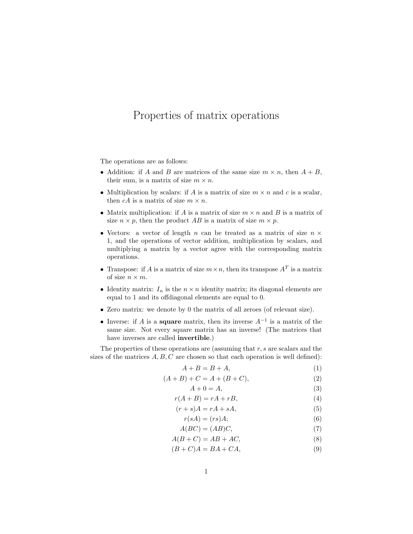## Properties of matrix operations

The operations are as follows:

- Addition: if A and B are matrices of the same size  $m \times n$ , then  $A + B$ , their sum, is a matrix of size  $m \times n$ .
- Multiplication by scalars: if A is a matrix of size  $m \times n$  and c is a scalar, then  $cA$  is a matrix of size  $m \times n$ .
- Matrix multiplication: if  $A$  is a matrix of size  $m \times n$  and  $B$  is a matrix of size  $n \times p$ , then the product AB is a matrix of size  $m \times p$ .
- Vectors: a vector of length n can be treated as a matrix of size  $n \times$ 1, and the operations of vector addition, multiplication by scalars, and multiplying a matrix by a vector agree with the corresponding matrix operations.
- Transpose: if A is a matrix of size  $m \times n$ , then its transpose  $A<sup>T</sup>$  is a matrix of size  $n \times m$ .
- Identity matrix:  $I_n$  is the  $n \times n$  identity matrix; its diagonal elements are equal to 1 and its offdiagonal elements are equal to 0.
- Zero matrix: we denote by 0 the matrix of all zeroes (of relevant size).
- Inverse: if A is a **square** matrix, then its inverse  $A^{-1}$  is a matrix of the same size. Not every square matrix has an inverse! (The matrices that have inverses are called invertible.)

The properties of these operations are (assuming that  $r, s$  are scalars and the sizes of the matrices  $A, B, C$  are chosen so that each operation is well defined):

$$
A + B = B + A,\tag{1}
$$

$$
(A + B) + C = A + (B + C),
$$
 (2)

$$
A + 0 = A,\tag{3}
$$

$$
r(A+B) = rA + rB,\tag{4}
$$

$$
(r+s)A = rA + sA,\tag{5}
$$

$$
r(sA) = (rs)A; \t\t(6)
$$

$$
A(BC) = (AB)C,\t(7)
$$

$$
A(B+C) = AB + AC,
$$
\n(8)

 $(B+C)A = BA + CA,$  (9)